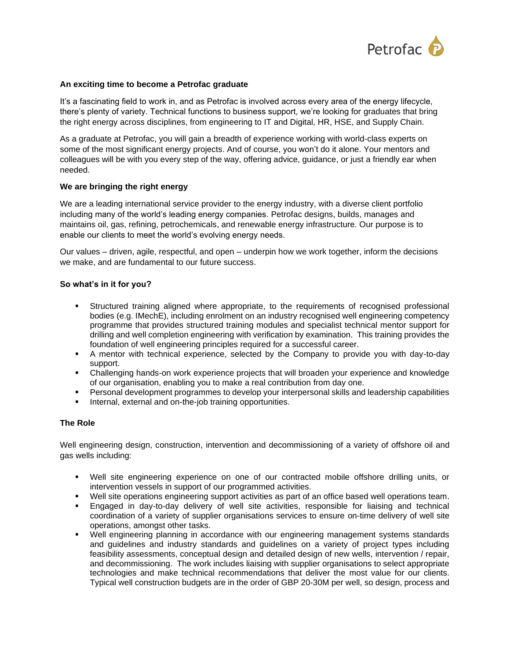

# **An exciting time to become a Petrofac graduate**

It's a fascinating field to work in, and as Petrofac is involved across every area of the energy lifecycle, there's plenty of variety. Technical functions to business support, we're looking for graduates that bring the right energy across disciplines, from engineering to IT and Digital, HR, HSE, and Supply Chain.

As a graduate at Petrofac, you will gain a breadth of experience working with world-class experts on some of the most significant energy projects. And of course, you won't do it alone. Your mentors and colleagues will be with you every step of the way, offering advice, guidance, or just a friendly ear when needed.

# **We are bringing the right energy**

We are a leading international service provider to the energy industry, with a diverse client portfolio including many of the world's leading energy companies. Petrofac designs, builds, manages and maintains oil, gas, refining, petrochemicals, and renewable energy infrastructure. Our purpose is to enable our clients to meet the world's evolving energy needs.

Our values – driven, agile, respectful, and open – underpin how we work together, inform the decisions we make, and are fundamental to our future success.

# **So what's in it for you?**

- **EXECT Structured training aligned where appropriate, to the requirements of recognised professional** bodies (e.g. IMechE), including enrolment on an industry recognised well engineering competency programme that provides structured training modules and specialist technical mentor support for drilling and well completion engineering with verification by examination. This training provides the foundation of well engineering principles required for a successful career.
- A mentor with technical experience, selected by the Company to provide you with day-to-day support.
- Challenging hands-on work experience projects that will broaden your experience and knowledge of our organisation, enabling you to make a real contribution from day one.
- Personal development programmes to develop your interpersonal skills and leadership capabilities
- **EXECT** Internal, external and on-the-job training opportunities.

# **The Role**

Well engineering design, construction, intervention and decommissioning of a variety of offshore oil and gas wells including:

- Well site engineering experience on one of our contracted mobile offshore drilling units, or intervention vessels in support of our programmed activities.
- Well site operations engineering support activities as part of an office based well operations team.
- Engaged in day-to-day delivery of well site activities, responsible for liaising and technical coordination of a variety of supplier organisations services to ensure on-time delivery of well site operations, amongst other tasks.
- Well engineering planning in accordance with our engineering management systems standards and guidelines and industry standards and guidelines on a variety of project types including feasibility assessments, conceptual design and detailed design of new wells, intervention / repair, and decommissioning. The work includes liaising with supplier organisations to select appropriate technologies and make technical recommendations that deliver the most value for our clients. Typical well construction budgets are in the order of GBP 20-30M per well, so design, process and